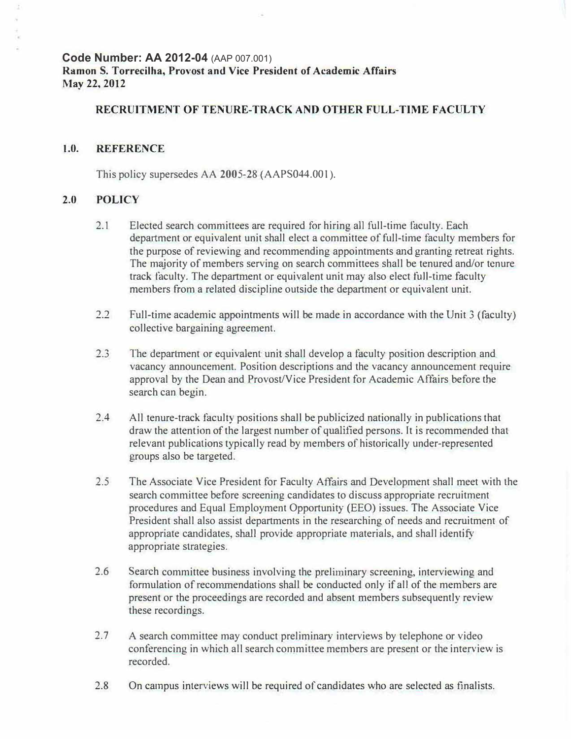**Code Number: AA 2012-04** (AAP 007.001) **Ramon S. Torrecilha, Provost and Vice President of Academic Affairs May 22,** 2012

## **RECRUITMENT OF TENURE-TRACK AND OTHER FULL-TIME FACULTY**

## **1.0. REFERENCE**

This policy supersedes AA 2005-28 (AAPS044.001).

## **2.0 POLICY**

- 2.1 Elected search committees are required for hiring all full-time faculty. Each department or equivalent unit shall elect a committee of full-time faculty members for the purpose of reviewing and recommending appointments and granting retreat rights. The majority of members serving on search committees shall be tenured and/or tenure track faculty. The department or equivalent unit may also elect full-time faculty members from a related discipline outside the department or equjvalent unit.
- 2.2 Full-time academic appointments will be made in accordance with the Unit 3 (faculty) collective bargaining agreement.
- 2.3 The department or equivalent unit shall develop a faculty position description and vacancy announcement. Position descriptions and the vacancy announcement require approval by the Dean and Provost/Vice President for Academic Affairs before the search can begin.
- 2.4 All tenure-track faculty positions shall be publicized nationally in publications that draw the attention of the largest nwnber of qualified persons. It is recommended that relevant publications typically read by members of historically under-represented groups aJso be targeted.
- 2.5 The Associate Vice President for Faculty Affairs and Development shall meet with the search committee before screening candidates to discuss appropriate recruitment procedures and Equal Employment Opportunity (EEO) issues. The Associate Vice President shall also assist departments in the researching of needs and recruitment of appropriate candidates, shall provide appropriate materials, and shall identify appropriate strategies.
- 2.6 Search committee business involving the preliminary screening, interviewing and formulation of recommendations shall be conducted only if all of the members are present or the proceedings are recorded and absent members subsequently review these recordings.
- 2.7 A search committee may conduct preliminary interviews by telephone or video conferencing in which all search committee members are present or the interview is recorded.
- 2.8 On campus interviews will be required of candidates who are selected as finalists.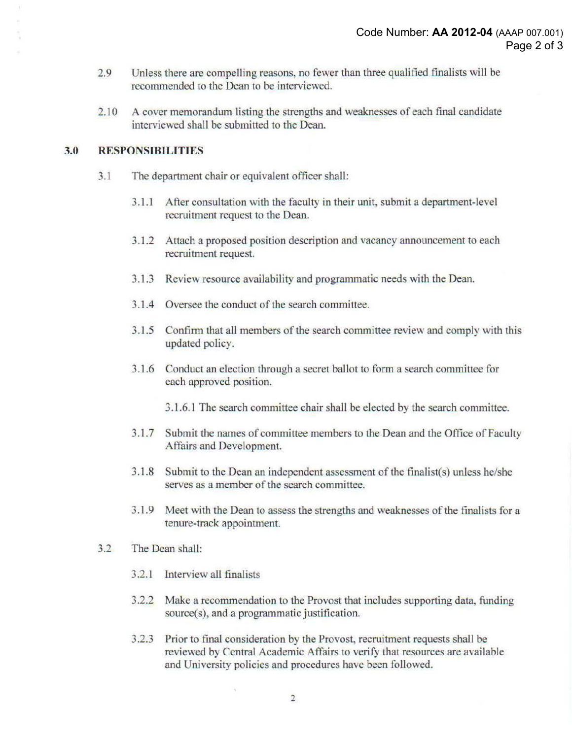- 2.9 Unless there are compelling reasons, no fewer than three qualified finalists will be recommended to the Dean to be interviewed.
- 2.10 A cover memorandum listing the strengths and weaknesses of each final candidate interviewed shall be submitted to the Dean.

## **3.0 RESPONSIBILITIES**

- 3.1 The department chair or equivalent officer shall:
	- 3.1.1 After consultation with the faculty in their unit, submit a department-level recruitment request to the Dean.
	- 3.1.2 Attach a proposed position description and vacancy announcement to each recruitment request.
	- 3.1.3 Review resource availability and programmatic needs with the Dean.
	- 3.1.4 Oversee the conduct of the search committee.
	- 3.1.5 Confirm that all members of the search committee review and comply with this updated policy.
	- 3.1.6 Conduct an election through a secret ballot to form a search committee for each approved position.
		- 3.1.6.1 The search committee chair shall be elected by the search committee.
	- 3.1.7 Submit the names of committee members to the Dean and the Office of Faculty Affairs and Development.
	- 3.1.8 Submit to the Dean an independent assessment of the finalist(s) unless he/she serves as a member of the search committee.
	- 3.1.9 Meet with the Dean to assess the strengths and weaknesses of the finalists for a tenure-track appointment.
- 3.2 The Dean shall:
	- 3.2.1 Interview all finalists
	- 3.2.2 Make a recommendation to the Provost that includes supporting data, funding source(s), and a programmatic justification.
	- 3.2.3 Prior to final consideration by the Provost, recruitment requests shall be reviewed by Central Academic Affairs to verify that resources are available and University policies and procedures have been followed.